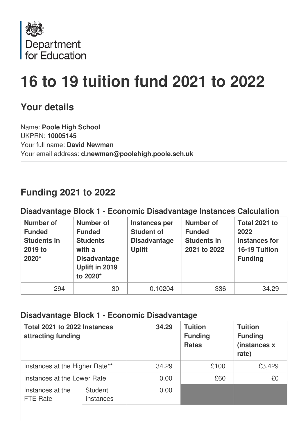

# **16 to 19 tuition fund 2021 to 2022**

## **Your details**

Name: **Poole High School** UKPRN: **10005145** Your full name: **David Newman** Your email address: **d.newman@poolehigh.poole.sch.uk**

## **Funding 2021 to 2022**

#### **Disadvantage Block 1 - Economic Disadvantage Instances Calculation**

| <b>Number of</b><br><b>Funded</b><br><b>Students in</b><br>2019 to<br>2020* | <b>Number of</b><br><b>Funded</b><br><b>Students</b><br>with a<br><b>Disadvantage</b><br>Uplift in 2019<br>to 2020* | Instances per<br><b>Student of</b><br><b>Disadvantage</b><br><b>Uplift</b> | <b>Number of</b><br><b>Funded</b><br><b>Students in</b><br>2021 to 2022 | Total 2021 to<br>2022<br><b>Instances for</b><br>16-19 Tuition<br><b>Funding</b> |
|-----------------------------------------------------------------------------|---------------------------------------------------------------------------------------------------------------------|----------------------------------------------------------------------------|-------------------------------------------------------------------------|----------------------------------------------------------------------------------|
| 294                                                                         | 30                                                                                                                  | 0.10204                                                                    | 336                                                                     | 34.29                                                                            |

#### **Disadvantage Block 1 - Economic Disadvantage**

| Total 2021 to 2022 Instances<br>attracting funding |                                    | 34.29 | <b>Tuition</b><br><b>Funding</b><br><b>Rates</b> | <b>Tuition</b><br><b>Funding</b><br>(instances x<br>rate) |
|----------------------------------------------------|------------------------------------|-------|--------------------------------------------------|-----------------------------------------------------------|
| Instances at the Higher Rate**                     |                                    | 34.29 | £100                                             | £3,429                                                    |
| Instances at the Lower Rate                        |                                    | 0.00  | £60                                              | £0                                                        |
| Instances at the<br><b>FTE Rate</b>                | <b>Student</b><br><b>Instances</b> | 0.00  |                                                  |                                                           |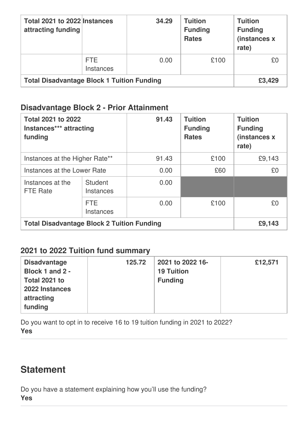| Total 2021 to 2022 Instances<br>attracting funding |                                | 34.29 | <b>Tuition</b><br><b>Funding</b><br><b>Rates</b> | <b>Tuition</b><br><b>Funding</b><br>(instances x<br>rate) |
|----------------------------------------------------|--------------------------------|-------|--------------------------------------------------|-----------------------------------------------------------|
|                                                    | <b>FTE</b><br><b>Instances</b> | 0.00  | £100                                             | £0                                                        |
| <b>Total Disadvantage Block 1 Tuition Funding</b>  |                                |       |                                                  | £3,429                                                    |

#### **Disadvantage Block 2 - Prior Attainment**

| <b>Total 2021 to 2022</b><br>Instances*** attracting<br>funding |                             | 91.43 | <b>Tuition</b><br><b>Funding</b><br><b>Rates</b> | <b>Tuition</b><br><b>Funding</b><br>(instances x<br>rate) |
|-----------------------------------------------------------------|-----------------------------|-------|--------------------------------------------------|-----------------------------------------------------------|
| Instances at the Higher Rate**                                  |                             | 91.43 | £100                                             | £9,143                                                    |
| Instances at the Lower Rate                                     |                             | 0.00  | £60                                              | £0                                                        |
| Instances at the<br><b>FTE Rate</b>                             | <b>Student</b><br>Instances | 0.00  |                                                  |                                                           |
|                                                                 | FTE.<br><b>Instances</b>    | 0.00  | £100                                             | £0                                                        |
| <b>Total Disadvantage Block 2 Tuition Funding</b>               |                             |       |                                                  | £9,143                                                    |

#### **2021 to 2022 Tuition fund summary**

| <b>Disadvantage</b><br>Block 1 and 2 -<br>Total 2021 to<br>2022 Instances<br>attracting<br>funding | 125.72 | 2021 to 2022 16-<br><b>19 Tuition</b><br><b>Funding</b> | £12,571 |
|----------------------------------------------------------------------------------------------------|--------|---------------------------------------------------------|---------|
|----------------------------------------------------------------------------------------------------|--------|---------------------------------------------------------|---------|

Do you want to opt in to receive 16 to 19 tuition funding in 2021 to 2022? **Yes**

# **Statement**

Do you have a statement explaining how you'll use the funding? **Yes**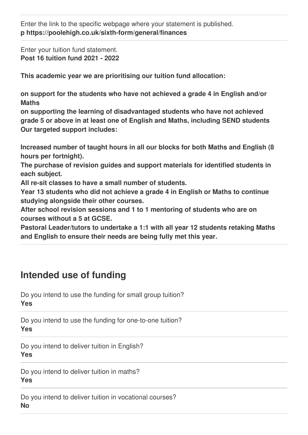Enter the link to the specific webpage where your statement is published. **p https://poolehigh.co.uk/sixth-form/general/finances**

Enter your tuition fund statement. **Post 16 tuition fund 2021 - 2022**

**This academic year we are prioritising our tuition fund allocation:**

**on support for the students who have not achieved a grade 4 in English and/or Maths**

**on supporting the learning of disadvantaged students who have not achieved grade 5 or above in at least one of English and Maths, including SEND students Our targeted support includes:**

**Increased number of taught hours in all our blocks for both Maths and English (8 hours per fortnight).**

**The purchase of revision guides and support materials for identified students in each subject.**

**All re-sit classes to have a small number of students.**

**Year 13 students who did not achieve a grade 4 in English or Maths to continue studying alongside their other courses.**

**After school revision sessions and 1 to 1 mentoring of students who are on courses without a 5 at GCSE.**

**Pastoral Leader/tutors to undertake a 1:1 with all year 12 students retaking Maths and English to ensure their needs are being fully met this year.**

# **Intended use of funding**

Do you intend to use the funding for small group tuition? **Yes**

Do you intend to use the funding for one-to-one tuition? **Yes**

Do you intend to deliver tuition in English? **Yes**

Do you intend to deliver tuition in maths? **Yes**

Do you intend to deliver tuition in vocational courses? **No**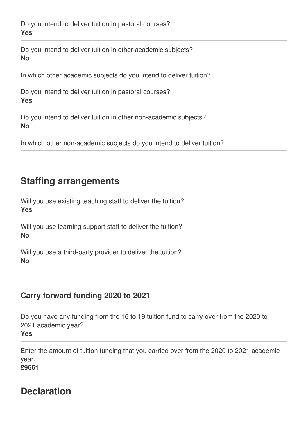Do you intend to deliver tuition in pastoral courses? **Yes**

Do you intend to deliver tuition in other academic subjects? **No**

In which other academic subjects do you intend to deliver tuition?

Do you intend to deliver tuition in pastoral courses? **Yes**

Do you intend to deliver tuition in other non-academic subjects? **No**

In which other non-academic subjects do you intend to deliver tuition?

## **Staffing arrangements**

Will you use existing teaching staff to deliver the tuition? **Yes**

Will you use learning support staff to deliver the tuition? **No**

Will you use a third-party provider to deliver the tuition? **No**

#### **Carry forward funding 2020 to 2021**

Do you have any funding from the 16 to 19 tuition fund to carry over from the 2020 to 2021 academic year? **Yes**

Enter the amount of tuition funding that you carried over from the 2020 to 2021 academic year.

**£9661**

## **Declaration**